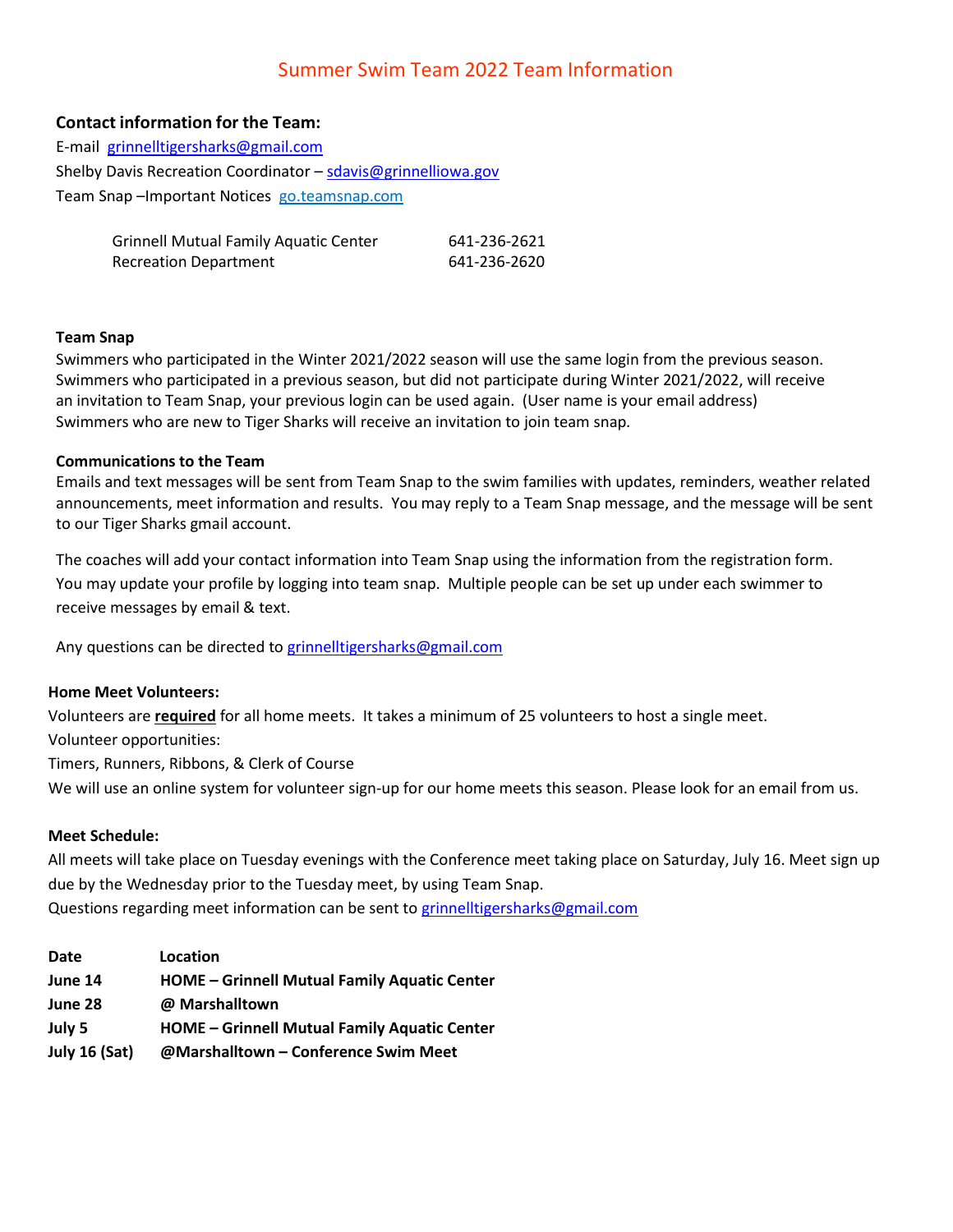# Summer Swim Team 2022 Team Information

## **Contact information for the Team:**

| E-mail grinnelltigersharks@gmail.com                          |
|---------------------------------------------------------------|
| Shelby Davis Recreation Coordinator - sdavis@grinnelliowa.gov |
| Team Snap-Important Notices go.teamsnap.com                   |

| <b>Grinnell Mutual Family Aquatic Center</b> | 641-236-2621 |
|----------------------------------------------|--------------|
| <b>Recreation Department</b>                 | 641-236-2620 |

#### **Team Snap**

Swimmers who participated in the Winter 2021/2022 season will use the same login from the previous season. Swimmers who participated in a previous season, but did not participate during Winter 2021/2022, will receive an invitation to Team Snap, your previous login can be used again. (User name is your email address) Swimmers who are new to Tiger Sharks will receive an invitation to join team snap.

#### **Communications to the Team**

Emails and text messages will be sent from Team Snap to the swim families with updates, reminders, weather related announcements, meet information and results. You may reply to a Team Snap message, and the message will be sent to our Tiger Sharks gmail account.

The coaches will add your contact information into Team Snap using the information from the registration form. You may update your profile by logging into team snap. Multiple people can be set up under each swimmer to receive messages by email & text.

Any questions can be directed t[o grinnelltigersharks@gmail.com](mailto:grinnelltigersharks@gmail.com)

#### **Home Meet Volunteers:**

Volunteers are **required** for all home meets. It takes a minimum of 25 volunteers to host a single meet. Volunteer opportunities: Timers, Runners, Ribbons, & Clerk of Course

We will use an online system for volunteer sign-up for our home meets this season. Please look for an email from us.

#### **Meet Schedule:**

All meets will take place on Tuesday evenings with the Conference meet taking place on Saturday, July 16. Meet sign up due by the Wednesday prior to the Tuesday meet, by using Team Snap. Questions regarding meet information can be sent to [grinnelltigersharks@gmail.com](mailto:grinnelltigersharks@gmail.com)

| Date                 | Location                                            |
|----------------------|-----------------------------------------------------|
| June 14              | <b>HOME – Grinnell Mutual Family Aquatic Center</b> |
| June 28              | @ Marshalltown                                      |
| July 5               | <b>HOME – Grinnell Mutual Family Aquatic Center</b> |
| <b>July 16 (Sat)</b> | @Marshalltown - Conference Swim Meet                |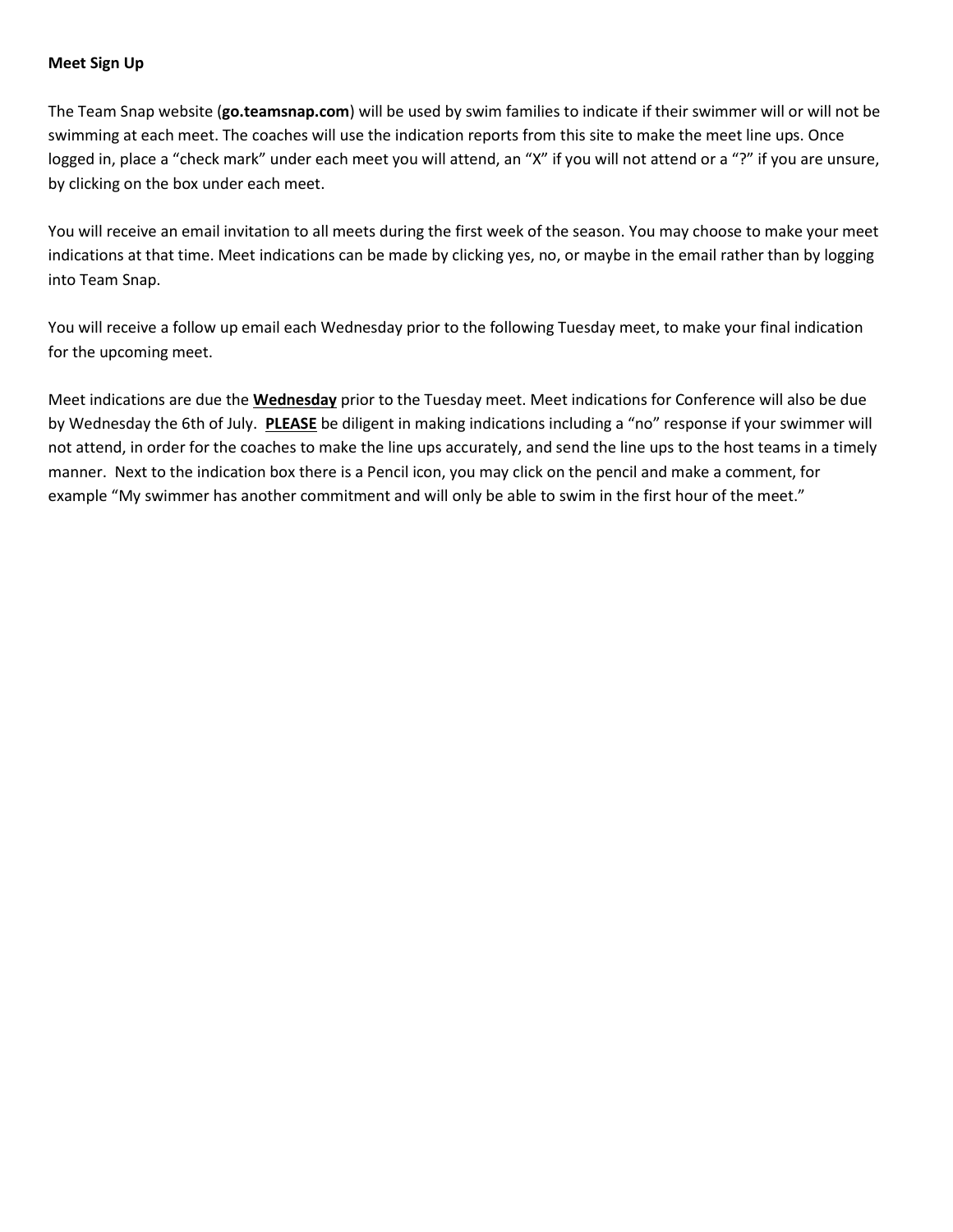### **Meet Sign Up**

The Team Snap website (**go.teamsnap.com**) will be used by swim families to indicate if their swimmer will or will not be swimming at each meet. The coaches will use the indication reports from this site to make the meet line ups. Once logged in, place a "check mark" under each meet you will attend, an "X" if you will not attend or a "?" if you are unsure, by clicking on the box under each meet.

You will receive an email invitation to all meets during the first week of the season. You may choose to make your meet indications at that time. Meet indications can be made by clicking yes, no, or maybe in the email rather than by logging into Team Snap.

You will receive a follow up email each Wednesday prior to the following Tuesday meet, to make your final indication for the upcoming meet.

Meet indications are due the **Wednesday** prior to the Tuesday meet. Meet indications for Conference will also be due by Wednesday the 6th of July. **PLEASE** be diligent in making indications including a "no" response if your swimmer will not attend, in order for the coaches to make the line ups accurately, and send the line ups to the host teams in a timely manner. Next to the indication box there is a Pencil icon, you may click on the pencil and make a comment, for example "My swimmer has another commitment and will only be able to swim in the first hour of the meet."